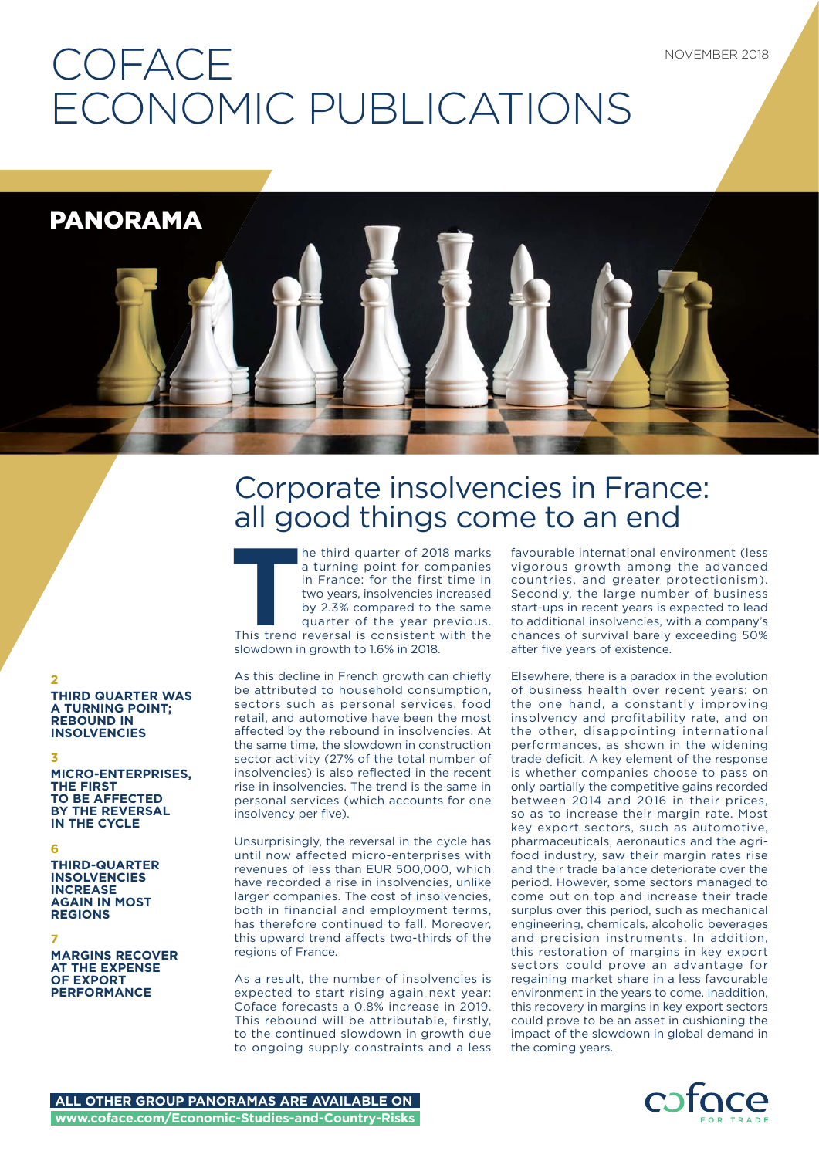# **COFACE** ECONOMIC PUBLICATIONS

PANORAMA

# Corporate insolvencies in France: all good things come to an end

**T**he third quarter of 2018 marks a turning point for companies in France: for the first time in two years, insolvencies increased by 2.3% compared to the same quarter of the year previous. This trend reversal is consistent with the slowdown in growth to 1.6% in 2018.

As this decline in French growth can chiefly be attributed to household consumption, sectors such as personal services, food retail, and automotive have been the most affected by the rebound in insolvencies. At the same time, the slowdown in construction sector activity (27% of the total number of insolvencies) is also reflected in the recent rise in insolvencies. The trend is the same in personal services (which accounts for one insolvency per five).

Unsurprisingly, the reversal in the cycle has until now affected micro-enterprises with revenues of less than EUR 500,000, which have recorded a rise in insolvencies, unlike larger companies. The cost of insolvencies, both in financial and employment terms, has therefore continued to fall. Moreover this upward trend affects two-thirds of the regions of France.

As a result, the number of insolvencies is expected to start rising again next year: Coface forecasts a 0.8% increase in 2019. This rebound will be attributable, firstly, to the continued slowdown in growth due to ongoing supply constraints and a less

favourable international environment (less vigorous growth among the advanced countries, and greater protectionism). Secondly, the large number of business start-ups in recent years is expected to lead to additional insolvencies, with a company's chances of survival barely exceeding 50% after five years of existence.

Elsewhere, there is a paradox in the evolution of business health over recent years: on the one hand, a constantly improving insolvency and profitability rate, and on the other, disappointing international performances, as shown in the widening trade deficit. A key element of the response is whether companies choose to pass on only partially the competitive gains recorded between 2014 and 2016 in their prices, so as to increase their margin rate. Most key export sectors, such as automotive, pharmaceuticals, aeronautics and the agrifood industry, saw their margin rates rise and their trade balance deteriorate over the period. However, some sectors managed to come out on top and increase their trade surplus over this period, such as mechanical engineering, chemicals, alcoholic beverages and precision instruments. In addition, this restoration of margins in key export sectors could prove an advantage for regaining market share in a less favourable environment in the years to come. Inaddition, this recovery in margins in key export sectors could prove to be an asset in cushioning the impact of the slowdown in global demand in the coming years.



### **THIRD QUARTER WAS A TURNING POINT; REBOUND IN INSOLVENCIES**

### **3**

**2**

**MICRO-ENTERPRISES, THE FIRST TO BE AFFECTED BY THE REVERSAL IN THE CYCLE**

### **6**

**THIRD-QUARTER INSOLVENCIES INCREASE AGAIN IN MOST REGIONS**

### **7**

**MARGINS RECOVER AT THE EXPENSE OF EXPORT PERFORMANCE**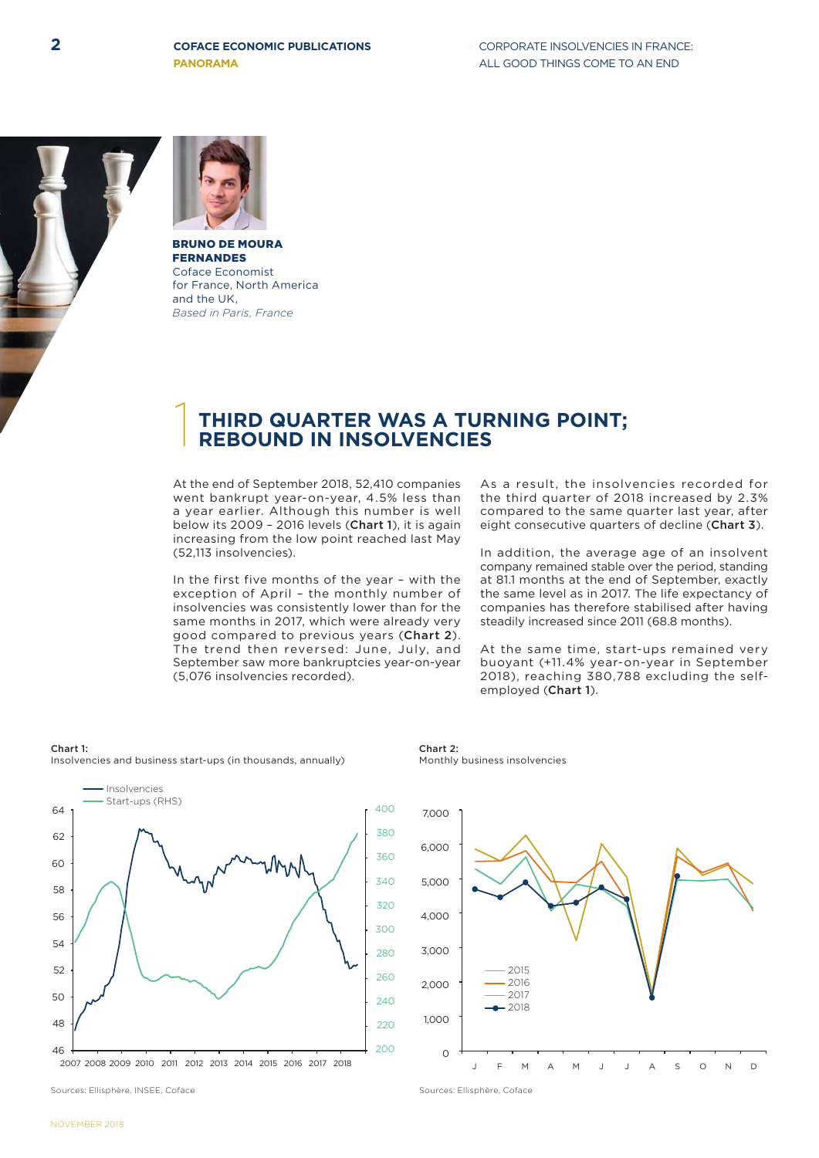**2 COFACE ECONOMIC PUBLICATIONS CORPORATE INSOLVENCIES IN FRANCE: COFACE ECONOMIC PUBLICATIONS**

**PANORAMA ALL GOOD THINGS COME TO AN END** 





BRUNO DE MOURA FERNANDES Coface Economist for France, North America and the UK, *Based in Paris, France*

## 1 **THIRD QUARTER WAS A TURNING POINT; REBOUND IN INSOLVENCIES**

At the end of September 2018, 52,410 companies went bankrupt year-on-year, 4.5% less than a year earlier. Although this number is well below its 2009 – 2016 levels (Chart 1), it is again increasing from the low point reached last May (52,113 insolvencies).

In the first five months of the year – with the exception of April – the monthly number of insolvencies was consistently lower than for the same months in 2017, which were already very good compared to previous years (Chart 2). The trend then reversed: June, July, and September saw more bankruptcies year-on-year (5,076 insolvencies recorded).

As a result, the insolvencies recorded for the third quarter of 2018 increased by 2.3% compared to the same quarter last year, after eight consecutive quarters of decline (Chart 3).

In addition, the average age of an insolvent company remained stable over the period, standing at 81.1 months at the end of September, exactly the same level as in 2017. The life expectancy of companies has therefore stabilised after having steadily increased since 2011 (68.8 months).

At the same time, start-ups remained very buoyant (+11.4% year-on-year in September 2018), reaching 380,788 excluding the selfemployed (Chart 1).

### Chart 1:

Insolvencies and business start-ups (in thousands, annually)



2007 2008 2009 2010 2011 2012 2013 2014 2015 2016 2017 2018

Chart 2: Monthly business insolvencies



Sources: Ellisphère, INSEE, Coface Sources: Ellisphère, Coface Sources: Ellisphère, Coface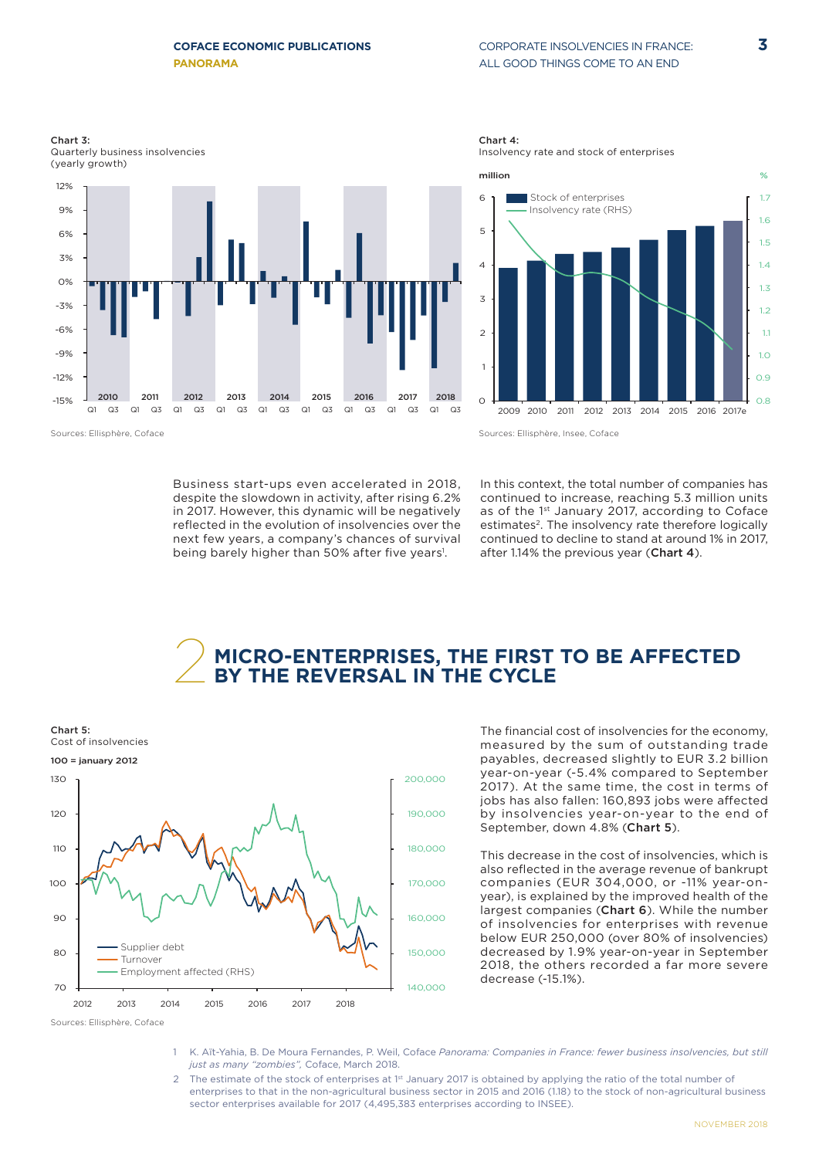### CORPORATE INSOLVENCIES IN FRANCE: ALL GOOD THINGS COME TO AN END



Chart 3: Quarterly business insolvencies (yearly growth)



Chart 4:



Sources: Ellisphère, Coface

Sources: Ellisphère, Insee, Coface

Business start-ups even accelerated in 2018, despite the slowdown in activity, after rising 6.2% in 2017. However, this dynamic will be negatively reflected in the evolution of insolvencies over the next few years, a company's chances of survival being barely higher than 50% after five years!.

In this context, the total number of companies has continued to increase, reaching 5.3 million units as of the 1st January 2017, according to Coface estimates<sup>2</sup>. The insolvency rate therefore logically continued to decline to stand at around 1% in 2017, after 1.14% the previous year (Chart 4).

# 2 **MICRO-ENTERPRISES, THE FIRST TO BE AFFECTED BY THE REVERSAL IN THE CYCLE**



The financial cost of insolvencies for the economy. measured by the sum of outstanding trade payables, decreased slightly to EUR 3.2 billion year-on-year (-5.4% compared to September 2017). At the same time, the cost in terms of jobs has also fallen: 160,893 jobs were affected by insolvencies year-on-year to the end of September, down 4.8% (Chart 5).

This decrease in the cost of insolvencies, which is also reflected in the average revenue of bankrupt companies (EUR 304,000, or -11% year-onyear), is explained by the improved health of the largest companies (Chart 6). While the number of insolvencies for enterprises with revenue below EUR 250,000 (over 80% of insolvencies) decreased by 1.9% year-on-year in September 2018, the others recorded a far more severe decrease (-15.1%).

- 1 K. Aït-Yahia, B. De Moura Fernandes, P. Weil, Coface *Panorama: Companies in France: fewer business insolvencies, but still just as many "zombies",* Coface, March 2018.
- The estimate of the stock of enterprises at 1st January 2017 is obtained by applying the ratio of the total number of enterprises to that in the non-agricultural business sector in 2015 and 2016 (1.18) to the stock of non-agricultural business sector enterprises available for 2017 (4,495,383 enterprises according to INSEE).

Sources: Ellisphère, Coface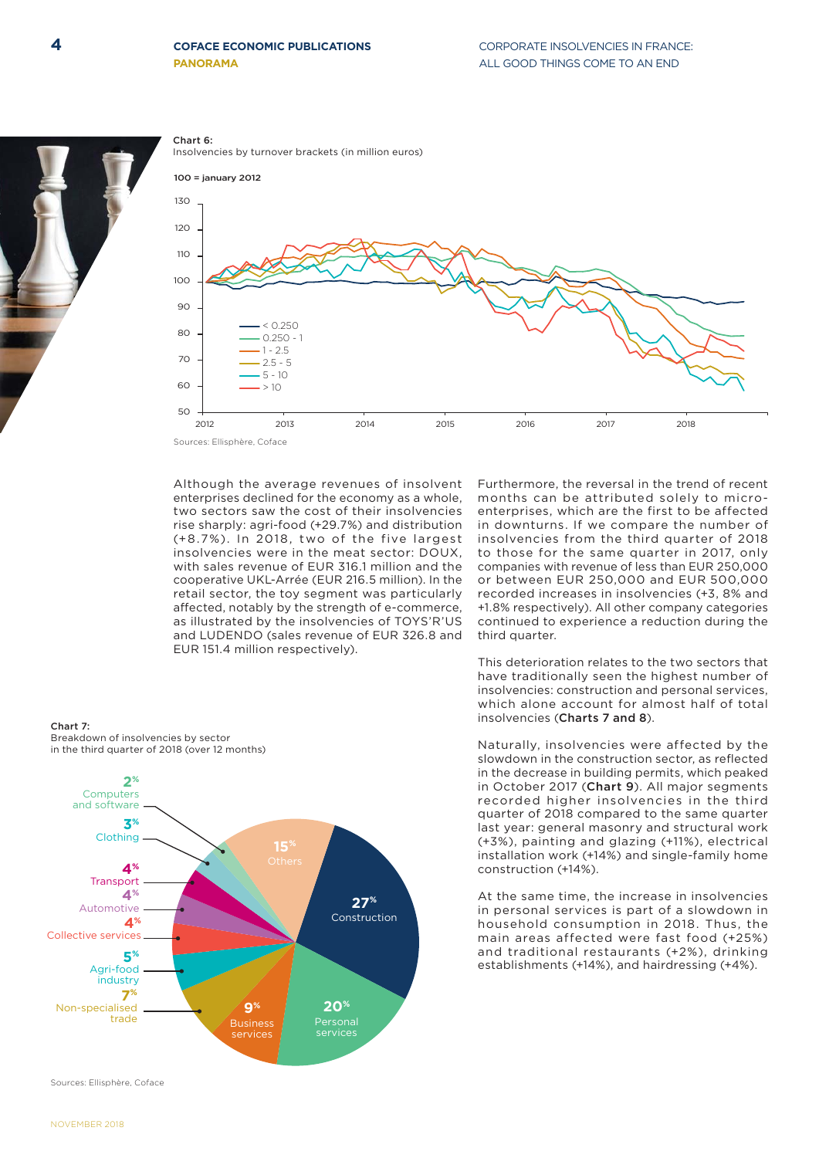### **4** COPECT CONSTRUCTIONS CORPORATE INSOLVENCIES IN FRANCE: **COFACE ECONOMIC PUBLICATIONS**





Although the average revenues of insolvent enterprises declined for the economy as a whole, two sectors saw the cost of their insolvencies rise sharply: agri-food (+29.7%) and distribution (+8.7%). In 2018, two of the five largest insolvencies were in the meat sector: DOUX, with sales revenue of EUR 316.1 million and the cooperative UKL-Arrée (EUR 216.5 million). In the retail sector, the toy segment was particularly affected, notably by the strength of e-commerce, as illustrated by the insolvencies of TOYS'R'US and LUDENDO (sales revenue of EUR 326.8 and EUR 151.4 million respectively).

Chart 7: Breakdown of insolvencies by sector in the third quarter of 2018 (over 12 months) **3%** Clothing **5%** Agri-food industry **4%** Collective services **2%** Computers and software **7%** Non-specialised trade **4% Transport 4%** Automotive **15% 27%** Construction **20%**  services **9%**  Business services

Sources: Ellisphère, Coface

Furthermore, the reversal in the trend of recent months can be attributed solely to microenterprises, which are the first to be affected in downturns. If we compare the number of insolvencies from the third quarter of 2018 to those for the same quarter in 2017, only companies with revenue of less than EUR 250,000 or between EUR 250,000 and EUR 500,000 recorded increases in insolvencies (+3, 8% and +1.8% respectively). All other company categories continued to experience a reduction during the third quarter.

This deterioration relates to the two sectors that have traditionally seen the highest number of insolvencies: construction and personal services, which alone account for almost half of total insolvencies (Charts 7 and 8).

Naturally, insolvencies were affected by the slowdown in the construction sector, as reflected in the decrease in building permits, which peaked in October 2017 (Chart 9). All major segments recorded higher insolvencies in the third quarter of 2018 compared to the same quarter last year: general masonry and structural work (+3%), painting and glazing (+11%), electrical installation work (+14%) and single-family home construction (+14%).

At the same time, the increase in insolvencies in personal services is part of a slowdown in household consumption in 2018. Thus, the main areas affected were fast food (+25%) and traditional restaurants (+2%), drinking establishments (+14%), and hairdressing (+4%).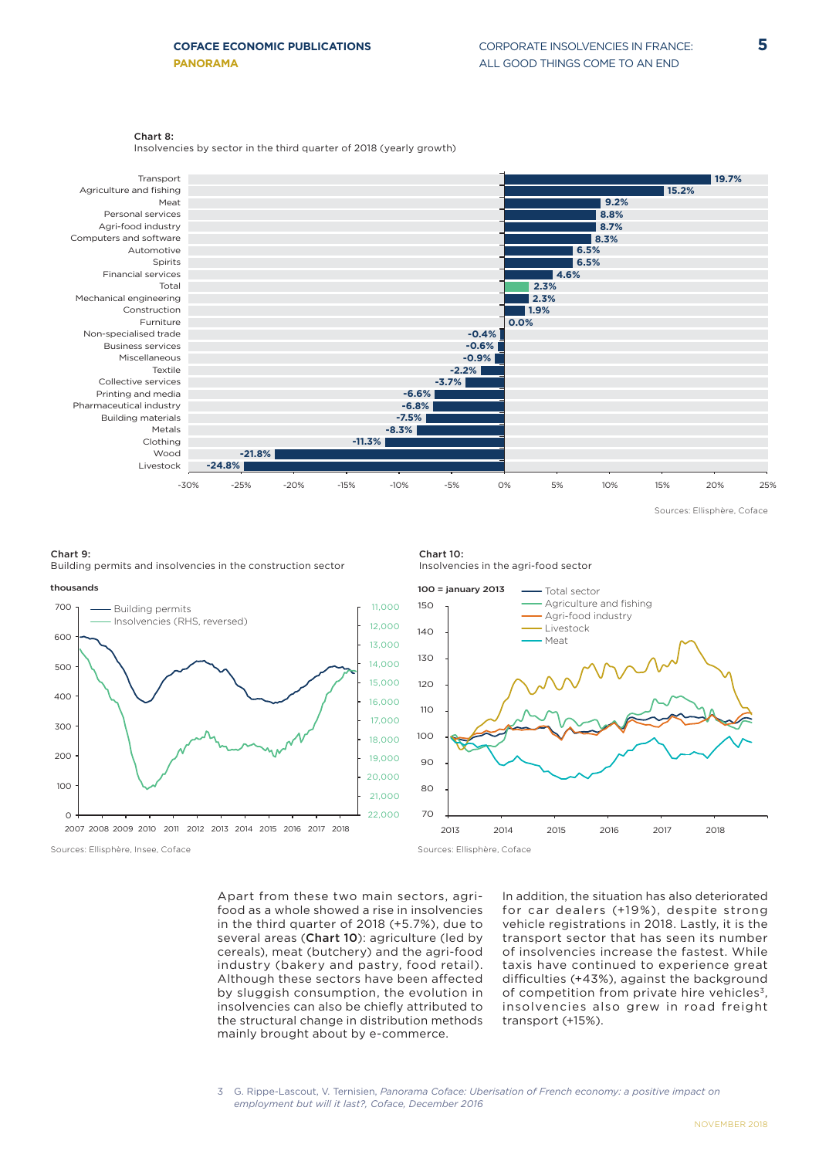### Chart 8:

Insolvencies by sector in the third quarter of 2018 (yearly growth)



Sources: Ellisphère, Coface

### Chart 9: Building permits and insolvencies in the construction sector







Apart from these two main sectors, agrifood as a whole showed a rise in insolvencies in the third quarter of 2018 (+5.7%), due to several areas (Chart 10): agriculture (led by cereals), meat (butchery) and the agri-food industry (bakery and pastry, food retail). Although these sectors have been affected by sluggish consumption, the evolution in insolvencies can also be chiefly attributed to the structural change in distribution methods mainly brought about by e-commerce.

In addition, the situation has also deteriorated for car dealers (+19%), despite strong vehicle registrations in 2018. Lastly, it is the transport sector that has seen its number of insolvencies increase the fastest. While taxis have continued to experience great difficulties (+43%), against the background of competition from private hire vehicles<sup>3</sup>, insolvencies also grew in road freight transport (+15%).

<sup>3</sup> G. Rippe-Lascout, V. Ternisien, *Panorama Coface: Uberisation of French economy: a positive impact on employment but will it last?, Coface, December 2016*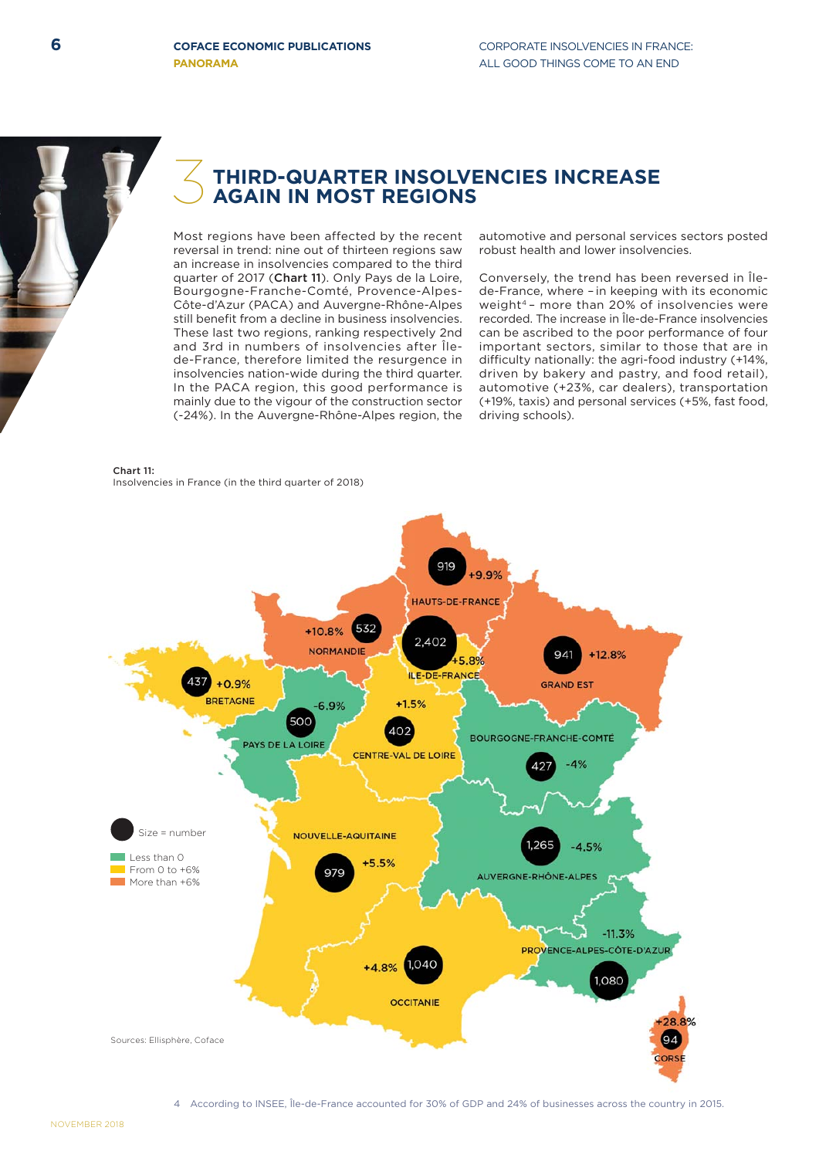

# 3 **THIRD-QUARTER INSOLVENCIES INCREASE AGAIN IN MOST REGIONS**

Most regions have been affected by the recent reversal in trend: nine out of thirteen regions saw an increase in insolvencies compared to the third quarter of 2017 (Chart 11). Only Pays de la Loire, Bourgogne-Franche-Comté, Provence-Alpes-Côte-d'Azur (PACA) and Auvergne-Rhône-Alpes still benefit from a decline in business insolvencies. These last two regions, ranking respectively 2nd and 3rd in numbers of insolvencies after Îlede-France, therefore limited the resurgence in insolvencies nation-wide during the third quarter. In the PACA region, this good performance is mainly due to the vigour of the construction sector (-24%). In the Auvergne-Rhône-Alpes region, the

### Chart 11: Insolvencies in France (in the third quarter of 2018)

automotive and personal services sectors posted robust health and lower insolvencies.

Conversely, the trend has been reversed in Îlede-France, where –in keeping with its economic weight<sup>4</sup> - more than 20% of insolvencies were recorded. The increase in Île-de-France insolvencies can be ascribed to the poor performance of four important sectors, similar to those that are in difficulty nationally: the agri-food industry (+14%, driven by bakery and pastry, and food retail), automotive (+23%, car dealers), transportation (+19%, taxis) and personal services (+5%, fast food, driving schools).

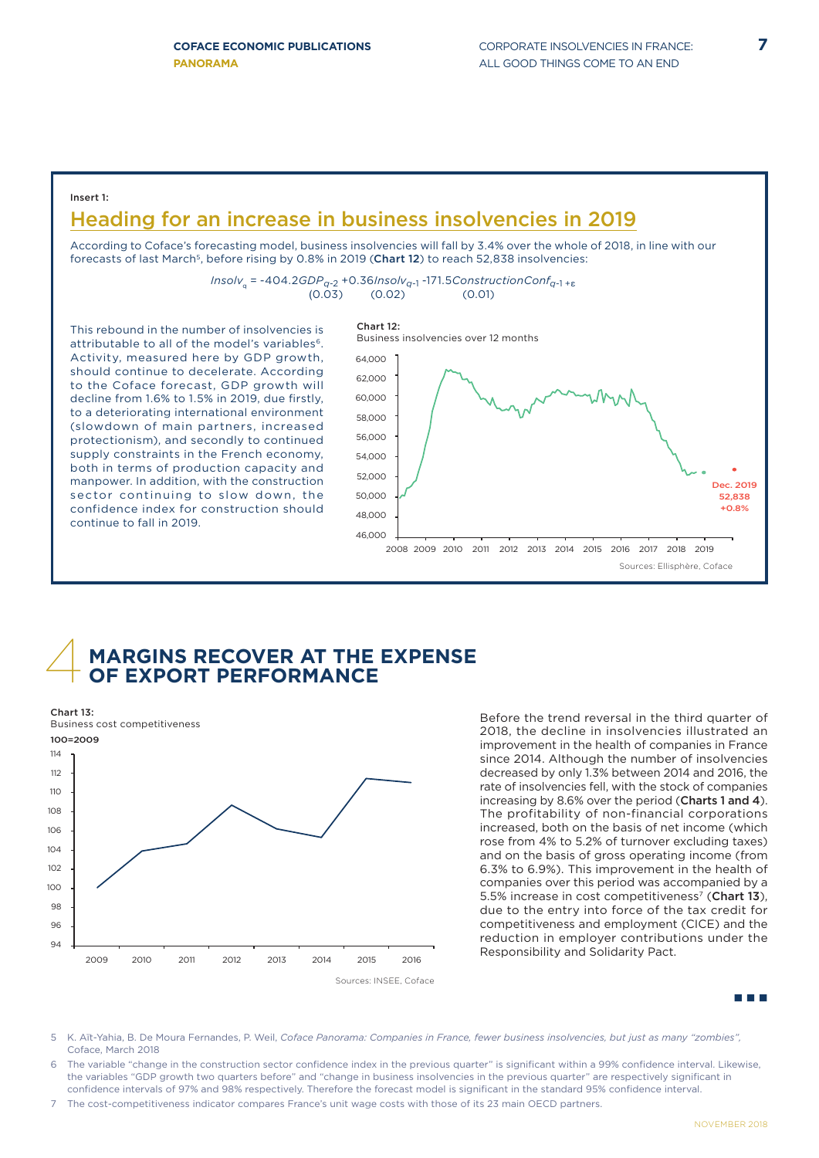### Insert 1:

# Heading for an increase in business insolvencies in 2019

According to Coface's forecasting model, business insolvencies will fall by 3.4% over the whole of 2018, in line with our forecasts of last March<sup>5</sup>, before rising by 0.8% in 2019 (Chart 12) to reach 52,838 insolvencies:

*Insolv*q = -404.2*GDPq*-2 +0.36*Insolvq*-1 -171.5*ConstructionConfq*-1 +<sup>ε</sup>  $(0.03)$   $(0.02)$   $(0.01)$ 

This rebound in the number of insolvencies is attributable to all of the model's variables<sup>6</sup>. Activity, measured here by GDP growth, should continue to decelerate. According to the Coface forecast, GDP growth will decline from 1.6% to 1.5% in 2019, due firstly, to a deteriorating international environment (slowdown of main partners, increased protectionism), and secondly to continued supply constraints in the French economy, both in terms of production capacity and manpower. In addition, with the construction sector continuing to slow down, the confidence index for construction should continue to fall in 2019.



## 4 **MARGINS RECOVER AT THE EXPENSE OF EXPORT PERFORMANCE**



Before the trend reversal in the third quarter of 2018, the decline in insolvencies illustrated an improvement in the health of companies in France since 2014. Although the number of insolvencies decreased by only 1.3% between 2014 and 2016, the rate of insolvencies fell, with the stock of companies increasing by 8.6% over the period (Charts 1 and 4). The profitability of non-financial corporations increased, both on the basis of net income (which rose from 4% to 5.2% of turnover excluding taxes) and on the basis of gross operating income (from 6.3% to 6.9%). This improvement in the health of companies over this period was accompanied by a 5.5% increase in cost competitiveness<sup>7</sup> (Chart 13), due to the entry into force of the tax credit for competitiveness and employment (CICE) and the reduction in employer contributions under the Responsibility and Solidarity Pact.

88 M.D

- 5 K. Aït-Yahia, B. De Moura Fernandes, P. Weil, *Coface Panorama: Companies in France, fewer business insolvencies, but just as many "zombies",*  Coface, March 2018
- The variable "change in the construction sector confidence index in the previous quarter" is significant within a 99% confidence interval. Likewise, the variables "GDP growth two quarters before" and "change in business insolvencies in the previous quarter" are respectively significant in confidence intervals of 97% and 98% respectively. Therefore the forecast model is significant in the standard 95% confidence interval.
- 7 The cost-competitiveness indicator compares France's unit wage costs with those of its 23 main OECD partners.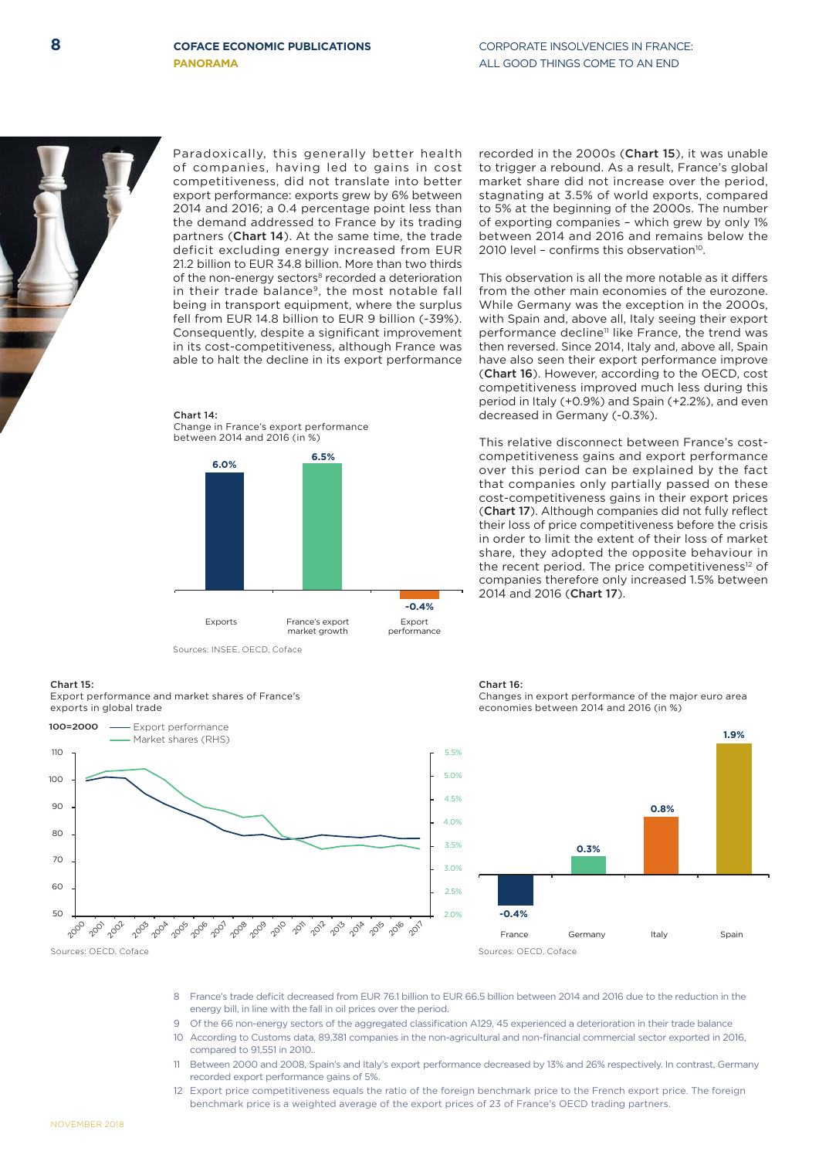Sources: OECD, Coface

200 200 1002 203 200A 2005 2006 2007 2008 2009 2010 201 2012 2013 2014 2015 2016 201

Paradoxically, this generally better health of companies, having led to gains in cost competitiveness, did not translate into better export performance: exports grew by 6% between 2014 and 2016; a 0.4 percentage point less than the demand addressed to France by its trading partners (Chart 14). At the same time, the trade deficit excluding energy increased from EUR 21.2 billion to EUR 34.8 billion. More than two thirds recorded in the 2000s (Chart 15), it was unable to trigger a rebound. As a result, France's global market share did not increase over the period, stagnating at 3.5% of world exports, compared to 5% at the beginning of the 2000s. The number of exporting companies – which grew by only 1% between 2014 and 2016 and remains below the 2010 level - confirms this observation $10$ .

This observation is all the more notable as it differs from the other main economies of the eurozone. While Germany was the exception in the 2000s, with Spain and, above all, Italy seeing their export performance decline<sup>11</sup> like France, the trend was then reversed. Since 2014, Italy and, above all, Spain have also seen their export performance improve (Chart 16). However, according to the OECD, cost competitiveness improved much less during this period in Italy (+0.9%) and Spain (+2.2%), and even decreased in Germany (-0.3%).

This relative disconnect between France's costcompetitiveness gains and export performance over this period can be explained by the fact that companies only partially passed on these cost-competitiveness gains in their export prices (Chart 17). Although companies did not fully reflect their loss of price competitiveness before the crisis in order to limit the extent of their loss of market share, they adopted the opposite behaviour in the recent period. The price competitiveness<sup>12</sup> of companies therefore only increased 1.5% between 2014 and 2016 (Chart 17).



Chart 16: Changes in export performance of the major euro area economies between 2014 and 2016 (in %)



- 8 France's trade deficit decreased from EUR 76.1 billion to EUR 66.5 billion between 2014 and 2016 due to the reduction in the energy bill, in line with the fall in oil prices over the period.
- Of the 66 non-energy sectors of the aggregated classification A129, 45 experienced a deterioration in their trade balance
- 10 According to Customs data, 89,381 companies in the non-agricultural and non-financial commercial sector exported in 2016. compared to 91,551 in 2010..
- 11 Between 2000 and 2008, Spain's and Italy's export performance decreased by 13% and 26% respectively. In contrast, Germany recorded export performance gains of 5%.
- 12 Export price competitiveness equals the ratio of the foreign benchmark price to the French export price. The foreign benchmark price is a weighted average of the export prices of 23 of France's OECD trading partners.

Change in France's export performance between 2014 and 2016 (in %) **6.5%**

Chart 14:

**6.0%**



of the non-energy sectors<sup>8</sup> recorded a deterioration in their trade balance<sup>9</sup>, the most notable fall being in transport equipment, where the surplus fell from EUR 14.8 billion to EUR 9 billion (-39%). Consequently, despite a significant improvement in its cost-competitiveness, although France was able to halt the decline in its export performance

Sources: INSEE, OECD, Coface

Export performance and market shares of France's

- Export performance Market shares (RHS)



Chart 15:

100=2000

11<sub>C</sub> 10C 90 8<sub>C</sub>  $7<sup>c</sup>$  $60$  $50$ 

exports in global trade

**8** COFACE FCONOMIC PUBLICATIONS CORPORATE INSOLVENCIES IN FRANCE **PANORAMA ALL GOOD THINGS COME TO AN END**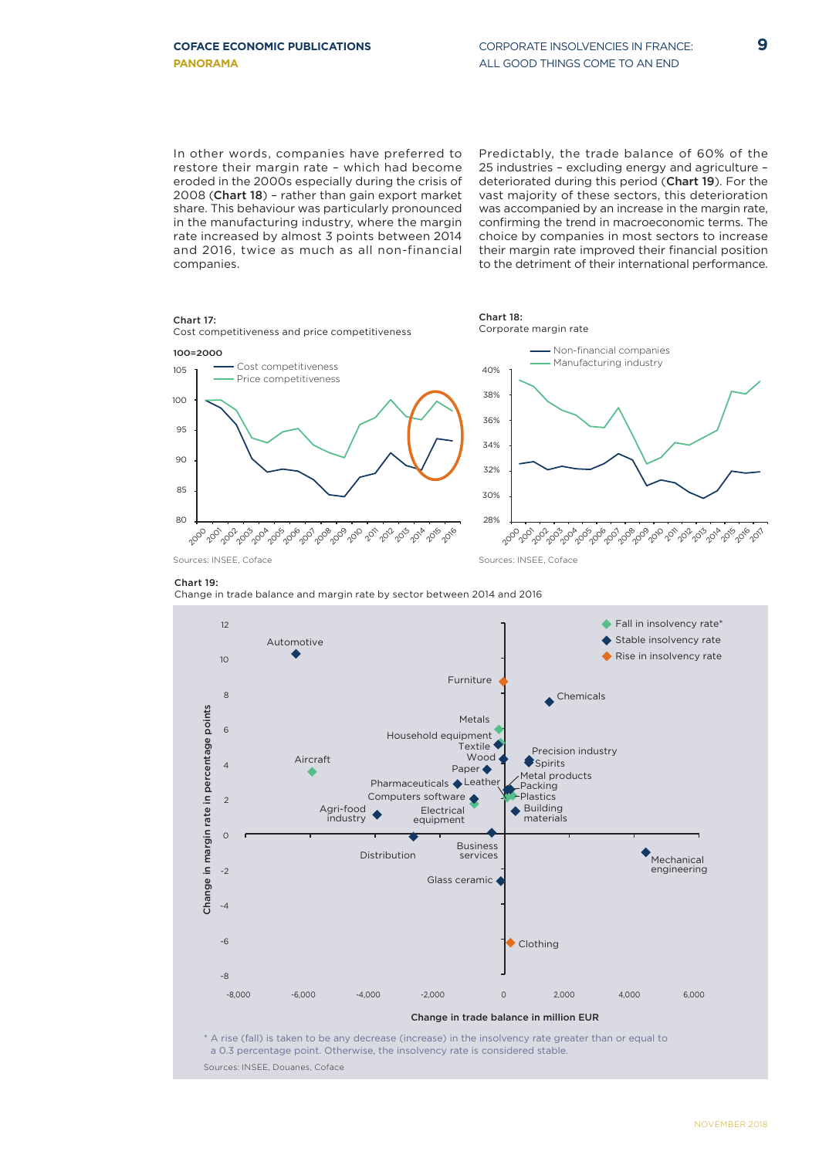In other words, companies have preferred to restore their margin rate – which had become eroded in the 2000s especially during the crisis of 2008 (Chart 18) – rather than gain export market share. This behaviour was particularly pronounced in the manufacturing industry, where the margin rate increased by almost 3 points between 2014 and 2016, twice as much as all non-financial companies.

Predictably, the trade balance of 60% of the 25 industries – excluding energy and agriculture – deteriorated during this period (Chart 19). For the vast majority of these sectors, this deterioration was accompanied by an increase in the margin rate, confirming the trend in macroeconomic terms. The choice by companies in most sectors to increase their margin rate improved their financial position to the detriment of their international performance.



### Chart 19:





a 0.3 percentage point. Otherwise, the insolvency rate is considered stable. Sources: INSEE, Douanes, Coface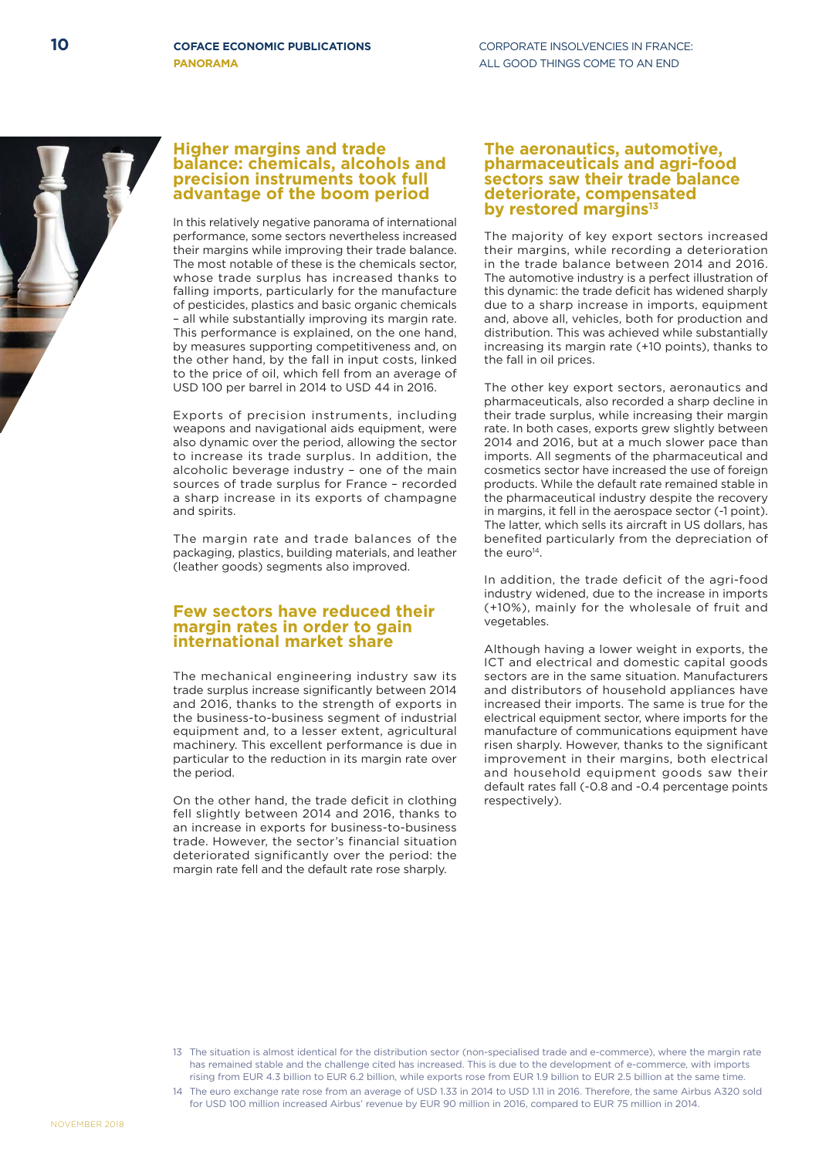### **Higher margins and trade balance: chemicals, alcohols and precision instruments took full advantage of the boom period**

In this relatively negative panorama of international performance, some sectors nevertheless increased their margins while improving their trade balance. The most notable of these is the chemicals sector, whose trade surplus has increased thanks to falling imports, particularly for the manufacture of pesticides, plastics and basic organic chemicals – all while substantially improving its margin rate. This performance is explained, on the one hand, by measures supporting competitiveness and, on the other hand, by the fall in input costs, linked to the price of oil, which fell from an average of USD 100 per barrel in 2014 to USD 44 in 2016.

Exports of precision instruments, including weapons and navigational aids equipment, were also dynamic over the period, allowing the sector to increase its trade surplus. In addition, the alcoholic beverage industry – one of the main sources of trade surplus for France – recorded a sharp increase in its exports of champagne and spirits.

The margin rate and trade balances of the packaging, plastics, building materials, and leather (leather goods) segments also improved.

### **Few sectors have reduced their margin rates in order to gain international market share**

The mechanical engineering industry saw its trade surplus increase significantly between 2014 and 2016, thanks to the strength of exports in the business-to-business segment of industrial equipment and, to a lesser extent, agricultural machinery. This excellent performance is due in particular to the reduction in its margin rate over the period.

On the other hand, the trade deficit in clothing fell slightly between 2014 and 2016, thanks to an increase in exports for business-to-business trade. However, the sector's financial situation deteriorated significantly over the period: the margin rate fell and the default rate rose sharply.

### **The aeronautics, automotive, pharmaceuticals and agri-food sectors saw their trade balance deteriorate, compensated by restored margins13**

The majority of key export sectors increased their margins, while recording a deterioration in the trade balance between 2014 and 2016. The automotive industry is a perfect illustration of this dynamic: the trade deficit has widened sharply due to a sharp increase in imports, equipment and, above all, vehicles, both for production and distribution. This was achieved while substantially increasing its margin rate (+10 points), thanks to the fall in oil prices.

The other key export sectors, aeronautics and pharmaceuticals, also recorded a sharp decline in their trade surplus, while increasing their margin rate. In both cases, exports grew slightly between 2014 and 2016, but at a much slower pace than imports. All segments of the pharmaceutical and cosmetics sector have increased the use of foreign products. While the default rate remained stable in the pharmaceutical industry despite the recovery in margins, it fell in the aerospace sector (-1 point). The latter, which sells its aircraft in US dollars, has benefited particularly from the depreciation of the euro<sup>14</sup>.

In addition, the trade deficit of the agri-food industry widened, due to the increase in imports (+10%), mainly for the wholesale of fruit and vegetables.

Although having a lower weight in exports, the ICT and electrical and domestic capital goods sectors are in the same situation. Manufacturers and distributors of household appliances have increased their imports. The same is true for the electrical equipment sector, where imports for the manufacture of communications equipment have risen sharply. However, thanks to the significant improvement in their margins, both electrical and household equipment goods saw their default rates fall (-0.8 and -0.4 percentage points respectively).



<sup>13</sup> The situation is almost identical for the distribution sector (non-specialised trade and e-commerce), where the margin rate has remained stable and the challenge cited has increased. This is due to the development of e-commerce, with imports rising from EUR 4.3 billion to EUR 6.2 billion, while exports rose from EUR 1.9 billion to EUR 2.5 billion at the same time.

<sup>14</sup> The euro exchange rate rose from an average of USD 1.33 in 2014 to USD 1.11 in 2016. Therefore, the same Airbus A320 sold for USD 100 million increased Airbus' revenue by EUR 90 million in 2016, compared to EUR 75 million in 2014.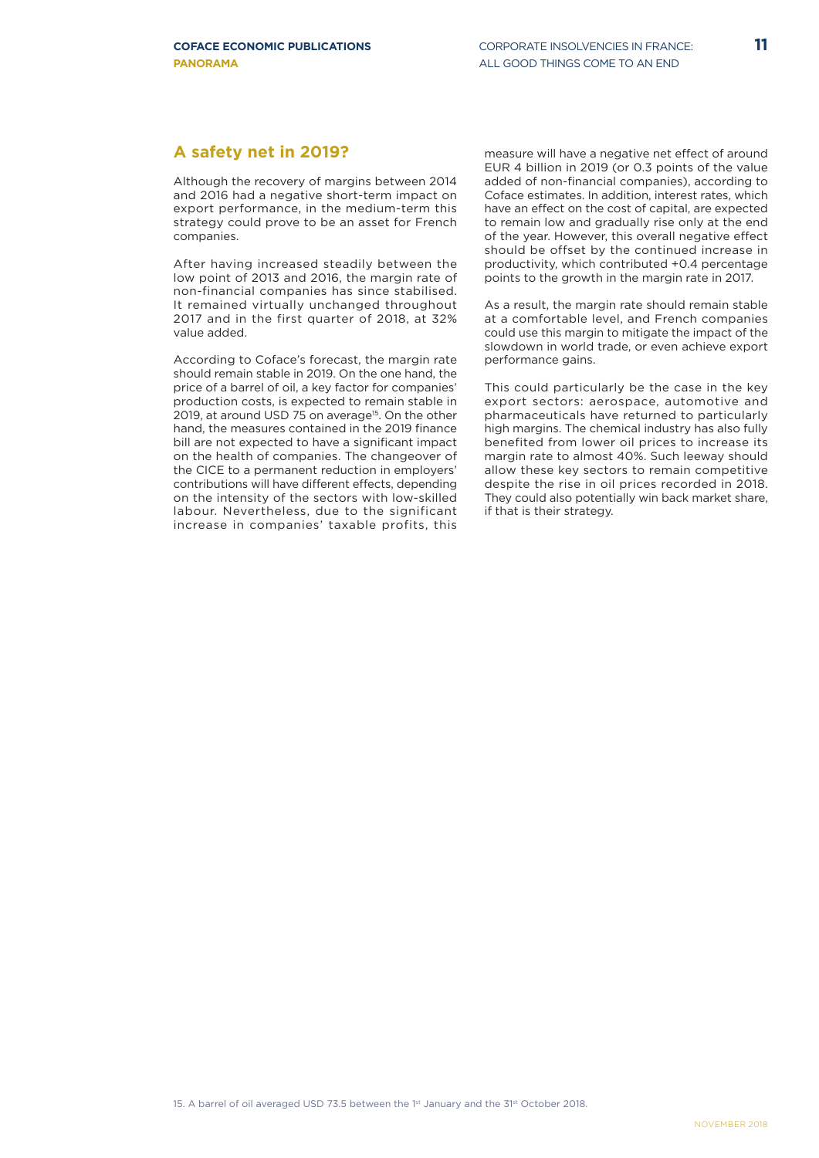### **A safety net in 2019?**

Although the recovery of margins between 2014 and 2016 had a negative short-term impact on export performance, in the medium-term this strategy could prove to be an asset for French companies.

After having increased steadily between the low point of 2013 and 2016, the margin rate of non-financial companies has since stabilised. It remained virtually unchanged throughout 2017 and in the first quarter of 2018, at 32% value added.

According to Coface's forecast, the margin rate should remain stable in 2019. On the one hand, the price of a barrel of oil, a key factor for companies' production costs, is expected to remain stable in 2019, at around USD 75 on average<sup>15</sup>. On the other hand, the measures contained in the 2019 finance bill are not expected to have a significant impact on the health of companies. The changeover of the CICE to a permanent reduction in employers' contributions will have different effects, depending on the intensity of the sectors with low-skilled labour. Nevertheless, due to the significant increase in companies' taxable profits, this

measure will have a negative net effect of around EUR 4 billion in 2019 (or 0.3 points of the value added of non-financial companies), according to Coface estimates. In addition, interest rates, which have an effect on the cost of capital, are expected to remain low and gradually rise only at the end of the year. However, this overall negative effect should be offset by the continued increase in productivity, which contributed +0.4 percentage points to the growth in the margin rate in 2017.

As a result, the margin rate should remain stable at a comfortable level, and French companies could use this margin to mitigate the impact of the slowdown in world trade, or even achieve export performance gains.

This could particularly be the case in the key export sectors: aerospace, automotive and pharmaceuticals have returned to particularly high margins. The chemical industry has also fully benefited from lower oil prices to increase its margin rate to almost 40%. Such leeway should allow these key sectors to remain competitive despite the rise in oil prices recorded in 2018. They could also potentially win back market share, if that is their strategy.